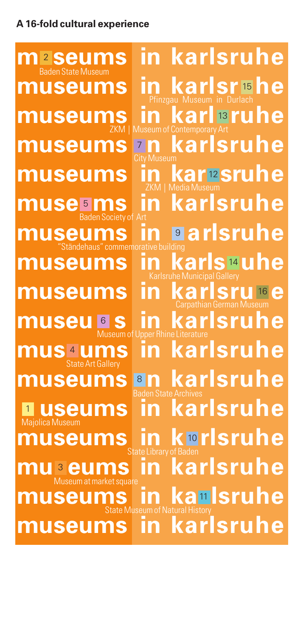## **A 16-fold cultural experience**

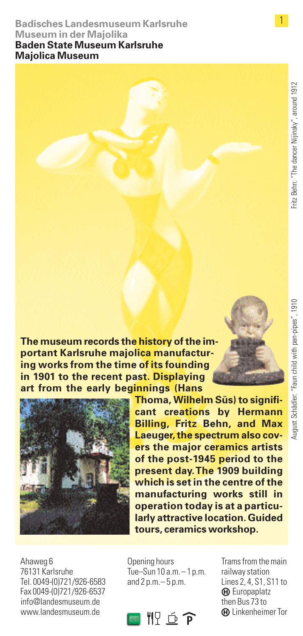## **Badisches Landesmuseum Karlsruhe Museum in der Majolika Baden State Museum Karlsruhe**

**Majolica Museum**

1

August Schädler: "Faun child with pan-pipes", 1910

**The museum records the history of the important Karlsruhe majolica manufacturing works from the time of its founding in 1901 to the recent past. Displaying art from the early beginnings (Hans**



**Thoma, Wilhelm Süs) to significant creations by Hermann Billing, Fritz Behn, and Max Laeuger, the spectrum also covers the major ceramics artists of the post-1945 period to the present day.The 1909 building which is set in the centre of the manufacturing works still in operation today is at a particularly attractive location. Guided tours, ceramics workshop.**

Ahaweg 6 76131 Karlsruhe Tel. 0049-(0)721/926-6583 Fax 0049-(0)721/926-6537 info@landesmuseum.de www.landesmuseum.de

Opening hours Tue–Sun  $10a.m - 1n.m$ . and 2 p.m.– 5 p.m.



Trams from the main railway station Lines 2, 4, S1, S11 to  $\Theta$  Europaplatz then Bus 73 to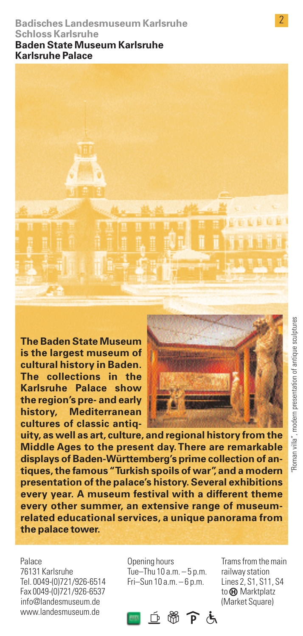#### **Badisches Landesmuseum Karlsruhe Schloss Karlsruhe Baden State Museum Karlsruhe Karlsruhe Palace**



**The Baden State Museum is the largest museum of cultural history in Baden. The collections in the Karlsruhe Palace show the region's pre- and early history, Mediterranean cultures of classic antiq-**



**uity, as well as art, culture, and regional history from the Middle Ages to the present day.There are remarkable displays of Baden-Württemberg's prime collection of antiques, the famous "Turkish spoils of war", and a modern presentation of the palace's history. Several exhibitions every year. A museum festival with a different theme every other summer, an extensive range of museumrelated educational services, a unique panorama from the palace tower.**

Palace 76131 Karlsruhe Tel. 0049-(0)721/926-6514 Fax 0049-(0)721/926-6537 info@landesmuseum.de www.landesmuseum.de

Opening hours Tue–Thu 10 a.m. – 5 p.m. Fri–Sun 10 a.m. – 6 p.m.

 $\blacksquare$   $\lnot$   $\%$   $\widehat{\mathsf{P}}$   $\dot{\mathsf{G}}$ 

Trams from the main railway station Lines 2, S1, S11, S4 to  $\boldsymbol{\Theta}$  Marktplatz (Market Square)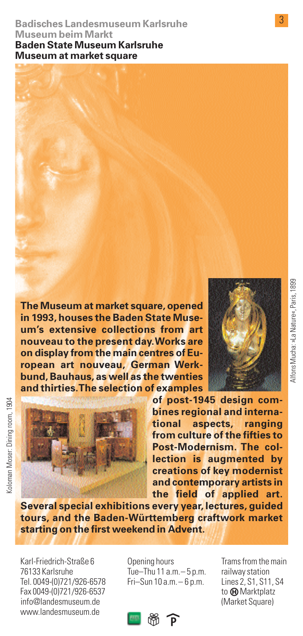#### **Badisches Landesmuseum Karlsruhe Museum beim Markt Baden State Museum Karlsruhe Museum at market square**

**The Museum at market square, opened in 1993, houses the Baden State Museum's extensive collections from art nouveau to the present day.Works are on display from the main centres of European art nouveau, German Werkbund, Bauhaus, as well as the twenties and thirties.The selection of examples**



Koloman Moser: Dining room. 1904 Koloman Moser: Dining room, 1904



**of post-1945 design combines regional and international aspects, ranging from culture of the fifties to Post-Modernism. The collection is augmented by creations of key modernist and contemporary artists in the field of applied art.**

**Several special exhibitions every year, lectures, guided tours, and the Baden-Württemberg craftwork market starting on the first weekend in Advent.**

Karl-Friedrich-Straße 6 76133 Karlsruhe Tel. 0049-(0)721/926-6578 Fax 0049-(0)721/926-6537 info@landesmuseum.de www.landesmuseum.de

Opening hours Tue–Thu 11 a.m.– 5 p.m. Fri–Sun 10 a.m.– 6 p.m.

railway station Lines 2, S1, S11, S4 to @ Marktplatz (Market Square)

Trams from the main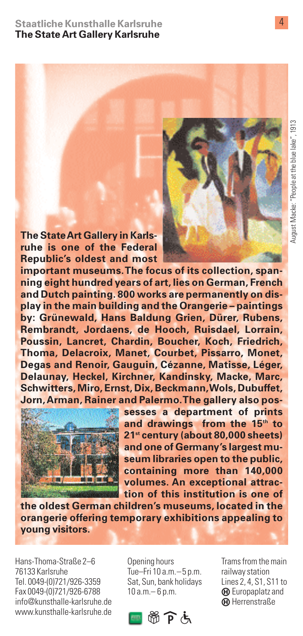**The State Art Gallery in Karlsruhe is one of the Federal Republic's oldest and most**

**important museums.The focus of its collection, spanning eight hundred years of art, lies on German, French and Dutch painting. 800 works are permanently on display in the main building and the Orangerie – paintings by: Grünewald, Hans Baldung Grien, Dürer, Rubens, Rembrandt, Jordaens, de Hooch, Ruisdael, Lorrain, Poussin, Lancret, Chardin, Boucher, Koch, Friedrich, Thoma, Delacroix, Manet, Courbet, Pissarro, Monet, Degas and Renoir, Gauguin, Cézanne, Matisse, Léger, Delaunay, Heckel, Kirchner, Kandinsky, Macke, Marc, Schwitters, Miro, Ernst, Dix, Beckmann,Wols, Dubuffet, Jorn,Arman, Rainer and Palermo.The gallery also pos-**



**sesses a department of prints and drawings from the 15th to 21st century (about 80,000 sheets) and one of Germany's largest museum libraries open to the public, containing more than 140,000 volumes. An exceptional attraction of this institution is one of**

**the oldest German children's museums, located in the orangerie offering temporary exhibitions appealing to young visitors.**

Hans-Thoma-Straße 2–6 76133 Karlsruhe Tel. 0049-(0)721/926-3359 Fax 0049-(0)721/926-6788 info@kunsthalle-karlsruhe.de www.kunsthalle-karlsruhe.de Opening hours Tue–Fri 10 a.m.–5 p.m. Sat, Sun, bank holidays 10 a.m.– 6 p.m.



Trams from the main railway station Lines 2, 4, S1, S11 to  $\Theta$  Europaplatz and **GD** Herrenstraße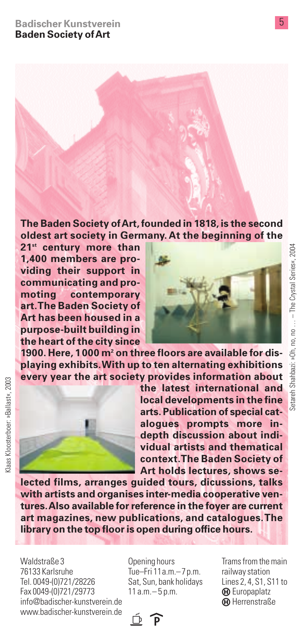**The Baden Society of Art, founded in 1818, is the second oldest art society in Germany. At the beginning of the**

**21st century more than 1,400 members are providing their support in communicating and promoting contemporary art.The Baden Society of Art has been housed in a purpose-built building in the heart of the city since**



**1900. Here, 1000 m2 on three floors are available for displaying exhibits.With up to ten alternating exhibitions every year the art society provides information about**



Klaas Kloosterboer: »Ballast«, 2003

(laas Kloosterboer: »Ballast«, 2003

**the latest international and local developments in the fine arts. Publication of special catalogues prompts more indepth discussion about individual artists and thematical context.The Baden Society of Art holds lectures, shows se-**

**lected films, arranges guided tours, dicussions, talks with artists and organises inter-media cooperative ventures.Also available for reference in the foyer are current art magazines, new publications, and catalogues.The library on the top floor is open during office hours.**

Waldstraße 3 76133 Karlsruhe Tel. 0049-(0)721/28226 Fax 0049-(0)721/29773 info@badischer-kunstverein.de www.badischer-kunstverein.de Opening hours Tue–Fri 11a.m.–7p.m. Sat, Sun, bank holidays 11 a.m.– 5 p.m.

 $\overline{p}$ 

Trams from the main railway station Lines 2, 4, S1, S11 to  $\Theta$  Europaplatz **GD** Herrenstraße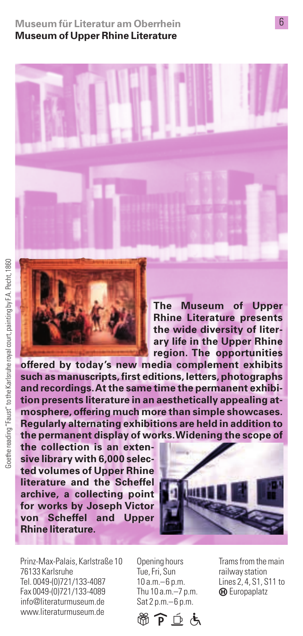### **Museum für Literatur am Oberrhein Museum of Upper Rhine Literature**





**The Museum of Upper Rhine Literature presents the wide diversity of literary life in the Upper Rhine region. The opportunities**

**offered by today's new media complement exhibits such as manuscripts, first editions, letters, photographs and recordings.At the same time the permanent exhibition presents literature in an aesthetically appealing atmosphere, offering much more than simple showcases. Regularly alternating exhibitions are held in addition to the permanent display of works.Widening the scope of**

**the collection is an extensive library with 6,000 selected volumes of Upper Rhine literature and the Scheffel archive, a collecting point for works by Joseph Victor von Scheffel and Upper Rhine literature.**



Prinz-Max-Palais, Karlstraße 10 76133 Karlsruhe Tel. 0049-(0)721/133-4087 Fax 0049-(0)721/133-4089 info@literaturmuseum.de www.literaturmuseum.de

Opening hours Tue, Fri, Sun 10 a.m.–6 p.m. Thu 10 a.m.–7 p.m. Sat 2 p.m.–6 p.m.



Trams from the main railway station Lines 2, 4, S1, S11 to  $\Theta$  Europaplatz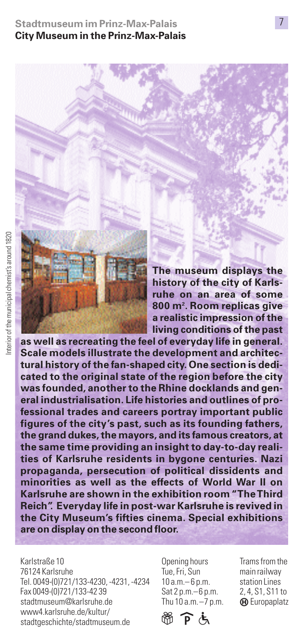**Stadtmuseum im Prinz-Max-Palais City Museum in the Prinz-Max-Palais**

**The museum displays the history of the city of Karlsruhe on an area of some 800 m2 . Room replicas give a realistic impression of the living conditions of the past**

**as well as recreating the feel of everyday life in general. Scale models illustrate the development and architectural history of the fan-shaped city. One section is dedicated to the original state of the region before the city was founded, another to the Rhine docklands and general industrialisation. Life histories and outlines of professional trades and careers portray important public figures of the city's past, such as its founding fathers, the grand dukes, the mayors, and its famous creators, at the same time providing an insight to day-to-day realities of Karlsruhe residents in bygone centuries. Nazi propaganda, persecution of political dissidents and minorities as well as the effects of World War II on Karlsruhe are shown in the exhibition room "TheThird Reich". Everyday life in post-war Karlsruhe is revived in the City Museum's fifties cinema. Special exhibitions are on display on the second floor.**

Karlstraße 10 76124 Karlsruhe Tel. 0049-(0)721/133-4230, -4231, -4234 Fax 0049-(0)721/133-42 39 stadtmuseum@karlsruhe.de www4.karlsruhe.de/kultur/ stadtgeschichte/stadtmuseum.de

Opening hours Tue, Fri, Sun 10 a.m.– 6 p.m. Sat 2 p.m.–6 p.m. Thu 10 a.m.–7 p.m.

@ P 4

Trams from the main railway station Lines 2, 4, S1, S11 to **(A)** Europaplatz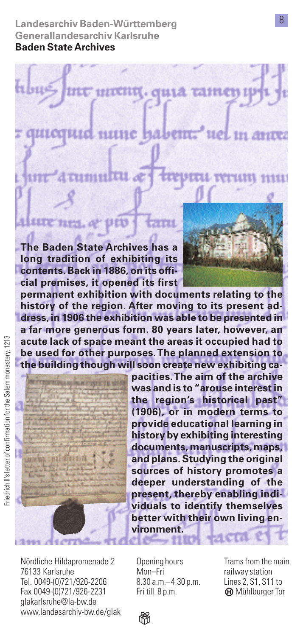**Landesarchiv Baden-Württemberg Generallandesarchiv Karlsruhe Baden State Archives**

**cial premises, it opened its first**

thus untin, quia tamen mune habem. 11 F F 2 **Het in sture** umnitti **The Baden State Archives has a long tradition of exhibiting its contents. Back in 1886, on its offi-**

**permanent exhibition with documents relating to the history of the region. After moving to its present address, in 1906 the exhibition was able to be presented in a far more generous form. 80 years later, however, an acute lack of space meant the areas it occupied had to be used for other purposes.The planned extension to the building though will soon create new exhibiting ca-**



**pacities.The aim of the archive was and is to "arouse interest in the region's historical past" (1906), or in modern terms to provide educational learning in history by exhibiting interesting documents, manuscripts, maps, and plans. Studying the original sources of history promotes a deeper understanding of the present, thereby enabling individuals to identify themselves better with their own living environment.**

Nördliche Hildapromenade 2 76133 Karlsruhe Tel. 0049-(0)721/926-2206 Fax 0049-(0)721/926-2231 glakarlsruhe@la-bw.de www.landesarchiv-bw.de/glak

Opening hours Mon–Fri 8.30 a.m.–4.30 p.m. Fri till 8 p.m.

Trams from the main railway station Lines 2, S1, S11 to **@** Mühlburger Tor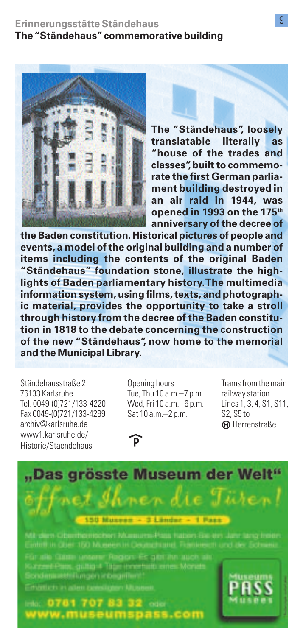

**The "Ständehaus", loosely translatable literally as "house of the trades and classes", built to commemorate the first German parliament building destroyed in an air raid in 1944, was opened in 1993 on the 175th anniversary of the decree of**

**the Baden constitution. Historical pictures of people and events, a model of the original building and a number of items including the contents of the original Baden "Ständehaus" foundation stone, illustrate the highlights of Baden parliamentary history.The multimedia information system, using films, texts, and photographic material, provides the opportunity to take a stroll through history from the decree of the Baden constitution in 1818 to the debate concerning the construction of the new "Ständehaus", now home to the memorial and the Municipal Library.**

Ständehausstraße 2 76133 Karlsruhe Tel. 0049-(0)721/133-4220 Fax 0049-(0)721/133-4299 archiv@karlsruhe.de www1 karlsruhe.de/ Historie/Staendehaus

Opening hours Tue, Thu 10 a.m.–7 p.m. Wed, Fri 10 a.m.–6 p.m. Sat 10 a.m.–2 p.m.

<u>ନ</u>

Trams from the main railway station Lines 1, 3, 4, S1, S11, S2, S5 to **GD** Herrenstraße

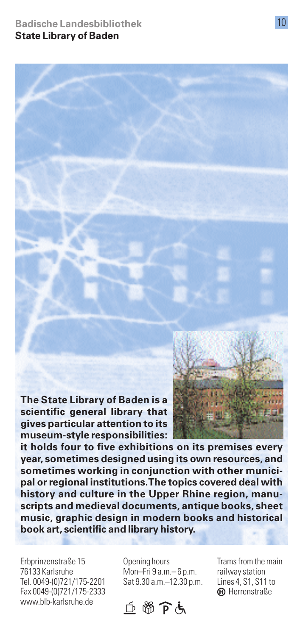**Badische Landesbibliothek State Library of Baden**

**The State Library of Baden is a scientific general library that gives particular attention to its museum-style responsibilities:**



**it holds four to five exhibitions on its premises every year, sometimes designed using its own resources, and sometimes working in conjunction with other municipal or regional institutions.The topics covered deal with history and culture in the Upper Rhine region, manuscripts and medieval documents, antique books, sheet music, graphic design in modern books and historical book art, scientific and library history.**

Erbprinzenstraße 15 76133 Karlsruhe Tel. 0049-(0)721/175-2201 Fax 0049-(0)721/175-2333 www.blb-karlsruhe.de

Opening hours Mon–Fri 9 a.m.– 6 p.m. Sat 9.30 a.m.–12.30 p.m.



Trams from the main railway station Lines 4, S1, S11 to **(A)** Herrenstraße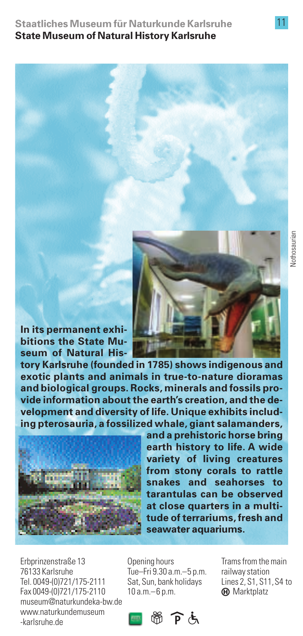**Staatliches Museum für Naturkunde Karlsruhe State Museum of Natural History Karlsruhe**



**In its permanent exhibitions the State Museum of Natural His-**

**tory Karlsruhe (founded in 1785) shows indigenous and exotic plants and animals in true-to-nature dioramas and biological groups. Rocks, minerals and fossils provide information about the earth's creation, and the development and diversity of life. Unique exhibits including pterosauria, a fossilized whale, giant salamanders,**



**and a prehistoric horse bring earth history to life. A wide variety of living creatures from stony corals to rattle snakes and seahorses to tarantulas can be observed at close quarters in a multitude of terrariums, fresh and seawater aquariums.**

Erbprinzenstraße 13 76133 Karlsruhe Tel. 0049-(0)721/175-2111 Fax 0049-(0)721/175-2110 museum@naturkundeka-bw.de www.naturkundemuseum -karlsruhe.de

Opening hours Tue–Fri 9.30 a.m.–5 p.m. Sat, Sun, bank holidays 10 a.m.–6 p.m.

**【图窗户点** 

Trams from the main railway station Lines 2, S1, S11,S4 to  $\oplus$  Marktplatz

Nothosaurian Nothosaurian

11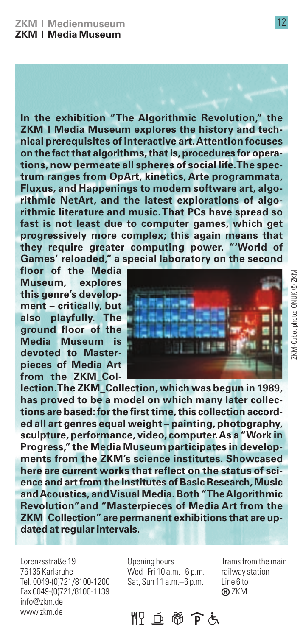**In the exhibition "The Algorithmic Revolution," the ZKM | Media Museum explores the history and technical prerequisites of interactive art.Attention focuses on the fact that algorithms, that is, procedures for operations, now permeate all spheres of social life.The spectrum ranges from OpArt, kinetics, Arte programmata, Fluxus, and Happenings to modern software art, algorithmic NetArt, and the latest explorations of algorithmic literature and music.That PCs have spread so fast is not least due to computer games, which get progressively more complex; this again means that they require greater computing power. "'World of Games' reloaded," a special laboratory on the second**

**floor of the Media Museum, explores this genre's development – critically, but also playfully. The ground floor of the Media Museum is devoted to Masterpieces of Media Art from the ZKM\_Col-**



**lection.The ZKM\_Collection, which was begun in 1989, has proved to be a model on which many later collections are based: for the first time, this collection accorded all art genres equal weight – painting, photography, sculpture, performance, video, computer.As a "Work in Progress," the Media Museum participates in developments from the ZKM's science institutes. Showcased here are current works that reflect on the status of science and art from the Institutes of Basic Research, Music and Acoustics, and Visual Media. Both "The Algorithmic Revolution"and "Masterpieces of Media Art from the ZKM\_Collection"are permanent exhibitions that are updated at regular intervals.**

Lorenzsstraße 19 76135 Karlsruhe Tel. 0049-(0)721/8100-1200 Fax 0049-(0)721/8100-1139 info@zkm.de www.zkm.de

Opening hours Wed–Fri 10 a.m.–6 p.m. Sat, Sun 11 a.m.–6 p.m.

Trams from the main railway station Line 6 to **GD** ZKM

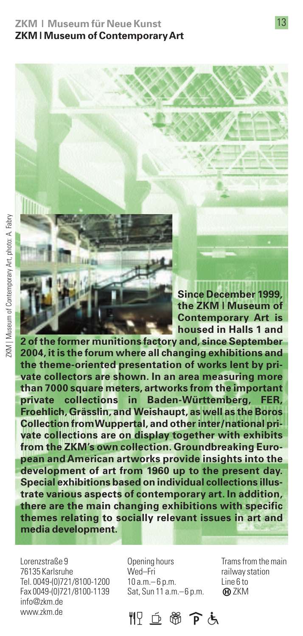**ZKM | Museum für Neue Kunst ZKM | Museum of Contemporary Art**

**Since December 1999, the ZKM | Museum of Contemporary Art is housed in Halls 1 and**

**2 of the former munitions factory and, since September 2004, it is the forum where all changing exhibitions and the theme-oriented presentation of works lent by private collectors are shown. In an area measuring more than 7000 square meters, artworks from the important private collections in Baden-Württemberg, FER, Froehlich, Grässlin, and Weishaupt, as well as the Boros Collection from Wuppertal, and other inter/national private collections are on display together with exhibits from the ZKM's own collection. Groundbreaking European and American artworks provide insights into the development of art from 1960 up to the present day. Special exhibitions based on individual collections illustrate various aspects of contemporary art. In addition, there are the main changing exhibitions with specific themes relating to socially relevant issues in art and media development.**

Lorenzstraße 9 76135 Karlsruhe Tel. 0049-(0)721/8100-1200 Fax 0049-(0)721/8100-1139 info@zkm.de www.zkm.de

Opening hours Wed–Fri 10 a.m.– 6 p.m. Sat, Sun 11 a.m.–6 p.m.

Trams from the main railway station Line 6 to **GD** ZKM

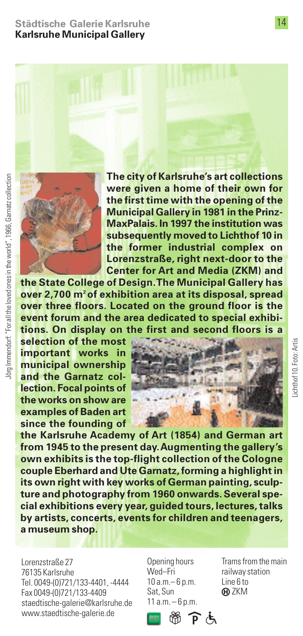#### **Städtische Galerie Karlsruhe Karlsruhe Municipal Gallery**



**The city of Karlsruhe's art collections were given a home of their own for the first time with the opening of the Municipal Gallery in 1981 in the Prinz-MaxPalais. In 1997 the institution was subsequently moved to Lichthof 10 in the former industrial complex on Lorenzstraße, right next-door to the Center for Art and Media (ZKM) and**

**the State College of Design.The Municipal Gallery has over 2,700 m2 of exhibition area at its disposal, spread over three floors. Located on the ground floor is the event forum and the area dedicated to special exhibitions. On display on the first and second floors is a**

**selection of the most important works in municipal ownership and the Garnatz collection. Focal points of the works on show are examples of Baden art since the founding of**



**the Karlsruhe Academy of Art (1854) and German art from 1945 to the present day.Augmenting the gallery's own exhibits is the top-flight collection of the Cologne couple Eberhard and Ute Garnatz, forming a highlight in its own right with key works of German painting, sculpture and photography from 1960 onwards. Several special exhibitions every year, guided tours, lectures, talks by artists, concerts, events for children and teenagers, a museum shop.**

Lorenzstraße 27 76135 Karlsruhe Tel. 0049-(0)721/133-4401, -4444 Fax 0049-(0)721/133-4409 staedtische-galerie@karlsruhe.de www.staedtische-galerie.de

Opening hours Wed–Fri 10 a.m.– 6 p.m. Sat, Sun 11 a.m. – 6 p.m.

Trams from the main railway station Line 6 to **@ZKM**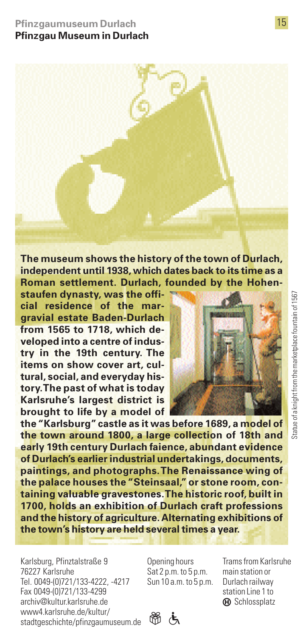**The museum shows the history of the town of Durlach, independent until 1938, which dates back to its time as a Roman settlement. Durlach, founded by the Hohen-**

**staufen dynasty, was the official residence of the margravial estate Baden-Durlach from 1565 to 1718, which developed into a centre of industry in the 19th century. The items on show cover art, cultural, social, and everyday history.The past of what is today Karlsruhe's largest district is brought to life by a model of**



**the "Karlsburg" castle as it was before 1689, a model of the town around 1800, a large collection of 18th and early 19th century Durlach faience, abundant evidence of Durlach's earlier industrial undertakings, documents, paintings, and photographs.The Renaissance wing of the palace houses the "Steinsaal," or stone room, containing valuable gravestones.The historic roof, built in 1700, holds an exhibition of Durlach craft professions and the history of agriculture. Alternating exhibitions of the town's history are held several times a year.**

Karlsburg, Pfinztalstraße 9 76227 Karlsruhe Tel. 0049-(0)721/133-4222, -4217 Fax 0049-(0)721/133-4299 archiv@kultur.karlsruhe.de www4.karlsruhe.de/kultur/ stadtgeschichte/pfinzgaumuseum.de b B

Opening hours Sat 2 p.m. to 5 p.m. Sun 10 a.m. to 5 p.m.

Trams from Karlsruhe main station or Durlach railway station Line 1 to **(A)** Schlossplatz



15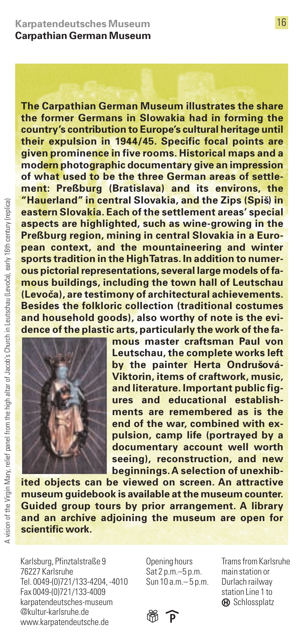**The Carpathian German Museum illustrates the share the former Germans in Slowakia had in forming the country's contribution to Europe's cultural heritage until their expulsion in 1944/45. Specific focal points are given prominence in five rooms. Historical maps and a modern photographic documentary give an impression of what used to be the three German areas of settlement: Preßburg (Bratislava) and its environs, the "Hauerland" in central Slovakia, and the Zips (Spisˇ) in eastern Slovakia. Each of the settlement areas' special aspects are highlighted, such as wine-growing in the Preßburg region, mining in central Slovakia in a European context, and the mountaineering and winter sports tradition in the High Tatras. In addition to numerous pictorial representations, several large models of famous buildings, including the town hall of Leutschau (Levocˇa), are testimony of architectural achievements. Besides the folkloric collection (traditional costumes and household goods), also worthy of note is the evidence of the plastic arts, particularly the work of the fa-**



**mous master craftsman Paul von Leutschau, the complete works left** by the painter Herta Ondrušová-**Viktorin, items of craftwork, music, and literature. Important public figures and educational establishments are remembered as is the end of the war, combined with expulsion, camp life (portrayed by a documentary account well worth seeing), reconstruction, and new beginnings.A selection of unexhib-**

**ited objects can be viewed on screen. An attractive museum guidebook is available at the museum counter. Guided group tours by prior arrangement. A library and an archive adjoining the museum are open for scientific work.**

Karlsburg, Pfinztalstraße 9 76227 Karlsruhe Tel. 0049-(0)721/133-4204, -4010 Fax 0049-(0)721/133-4009 karpatendeutsches-museum @kultur-karlsruhe.de www.karpatendeutsche.de

Opening hours Sat 2 p.m.–5 p.m. Sun 10 a.m.– 5 p.m.

Trams from Karlsruhe main station or Durlach railway station Line 1 to **(A)** Schlossplatz